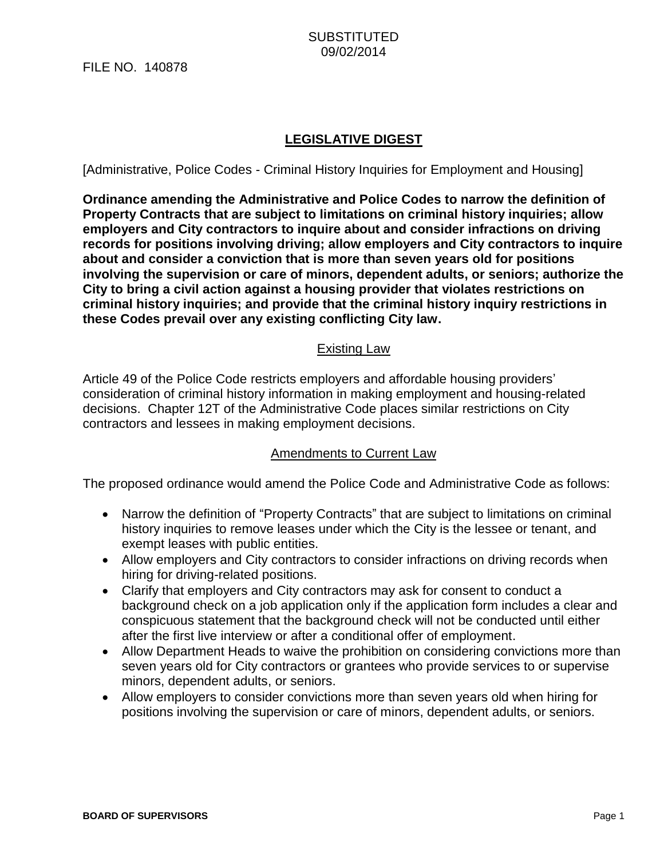# **LEGISLATIVE DIGEST**

[Administrative, Police Codes - Criminal History Inquiries for Employment and Housing]

**Ordinance amending the Administrative and Police Codes to narrow the definition of Property Contracts that are subject to limitations on criminal history inquiries; allow employers and City contractors to inquire about and consider infractions on driving records for positions involving driving; allow employers and City contractors to inquire about and consider a conviction that is more than seven years old for positions involving the supervision or care of minors, dependent adults, or seniors; authorize the City to bring a civil action against a housing provider that violates restrictions on criminal history inquiries; and provide that the criminal history inquiry restrictions in these Codes prevail over any existing conflicting City law.**

### Existing Law

Article 49 of the Police Code restricts employers and affordable housing providers' consideration of criminal history information in making employment and housing-related decisions. Chapter 12T of the Administrative Code places similar restrictions on City contractors and lessees in making employment decisions.

#### Amendments to Current Law

The proposed ordinance would amend the Police Code and Administrative Code as follows:

- Narrow the definition of "Property Contracts" that are subject to limitations on criminal history inquiries to remove leases under which the City is the lessee or tenant, and exempt leases with public entities.
- Allow employers and City contractors to consider infractions on driving records when hiring for driving-related positions.
- Clarify that employers and City contractors may ask for consent to conduct a background check on a job application only if the application form includes a clear and conspicuous statement that the background check will not be conducted until either after the first live interview or after a conditional offer of employment.
- Allow Department Heads to waive the prohibition on considering convictions more than seven years old for City contractors or grantees who provide services to or supervise minors, dependent adults, or seniors.
- Allow employers to consider convictions more than seven years old when hiring for positions involving the supervision or care of minors, dependent adults, or seniors.